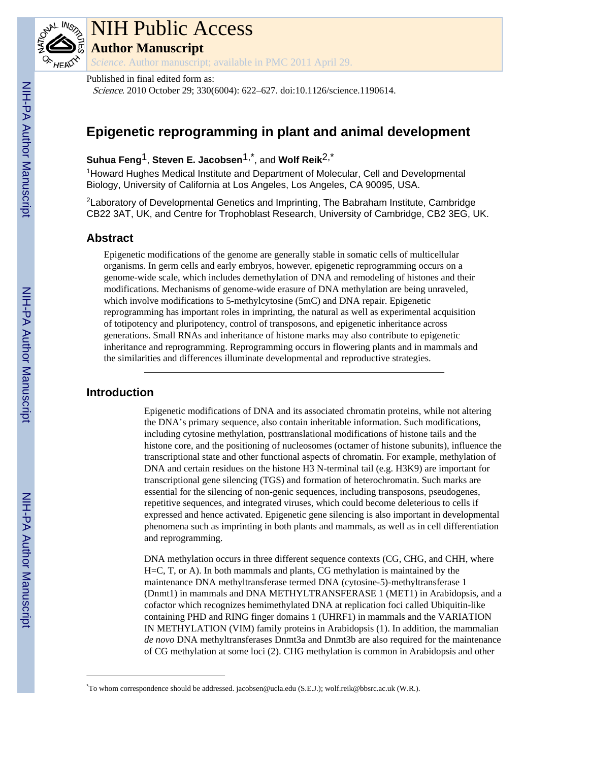

# NIH Public Access

**Author Manuscript**

*Science*. Author manuscript; available in PMC 2011 April 29.

Published in final edited form as:

Science. 2010 October 29; 330(6004): 622–627. doi:10.1126/science.1190614.

## **Epigenetic reprogramming in plant and animal development**

### **Suhua Feng**1, **Steven E. Jacobsen**1,\*, and **Wolf Reik**2,\*

<sup>1</sup>Howard Hughes Medical Institute and Department of Molecular, Cell and Developmental Biology, University of California at Los Angeles, Los Angeles, CA 90095, USA.

<sup>2</sup>Laboratory of Developmental Genetics and Imprinting, The Babraham Institute, Cambridge CB22 3AT, UK, and Centre for Trophoblast Research, University of Cambridge, CB2 3EG, UK.

#### **Abstract**

Epigenetic modifications of the genome are generally stable in somatic cells of multicellular organisms. In germ cells and early embryos, however, epigenetic reprogramming occurs on a genome-wide scale, which includes demethylation of DNA and remodeling of histones and their modifications. Mechanisms of genome-wide erasure of DNA methylation are being unraveled, which involve modifications to 5-methylcytosine (5mC) and DNA repair. Epigenetic reprogramming has important roles in imprinting, the natural as well as experimental acquisition of totipotency and pluripotency, control of transposons, and epigenetic inheritance across generations. Small RNAs and inheritance of histone marks may also contribute to epigenetic inheritance and reprogramming. Reprogramming occurs in flowering plants and in mammals and the similarities and differences illuminate developmental and reproductive strategies.

#### **Introduction**

Epigenetic modifications of DNA and its associated chromatin proteins, while not altering the DNA's primary sequence, also contain inheritable information. Such modifications, including cytosine methylation, posttranslational modifications of histone tails and the histone core, and the positioning of nucleosomes (octamer of histone subunits), influence the transcriptional state and other functional aspects of chromatin. For example, methylation of DNA and certain residues on the histone H3 N-terminal tail (e.g. H3K9) are important for transcriptional gene silencing (TGS) and formation of heterochromatin. Such marks are essential for the silencing of non-genic sequences, including transposons, pseudogenes, repetitive sequences, and integrated viruses, which could become deleterious to cells if expressed and hence activated. Epigenetic gene silencing is also important in developmental phenomena such as imprinting in both plants and mammals, as well as in cell differentiation and reprogramming.

DNA methylation occurs in three different sequence contexts (CG, CHG, and CHH, where H=C, T, or A). In both mammals and plants, CG methylation is maintained by the maintenance DNA methyltransferase termed DNA (cytosine-5)-methyltransferase 1 (Dnmt1) in mammals and DNA METHYLTRANSFERASE 1 (MET1) in Arabidopsis, and a cofactor which recognizes hemimethylated DNA at replication foci called Ubiquitin-like containing PHD and RING finger domains 1 (UHRF1) in mammals and the VARIATION IN METHYLATION (VIM) family proteins in Arabidopsis (1). In addition, the mammalian *de novo* DNA methyltransferases Dnmt3a and Dnmt3b are also required for the maintenance of CG methylation at some loci (2). CHG methylation is common in Arabidopsis and other

<sup>\*</sup>To whom correspondence should be addressed. jacobsen@ucla.edu (S.E.J.); wolf.reik@bbsrc.ac.uk (W.R.).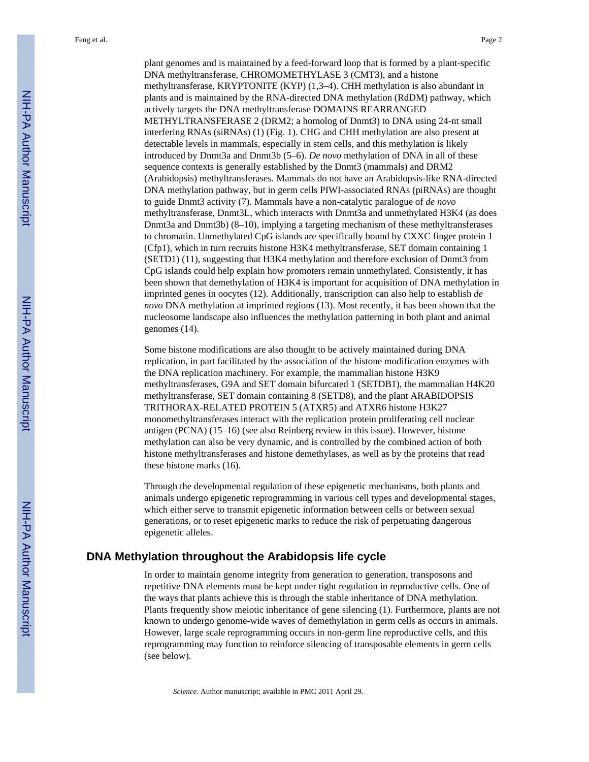plant genomes and is maintained by a feed-forward loop that is formed by a plant-specific DNA methyltransferase, CHROMOMETHYLASE 3 (CMT3), and a histone methyltransferase, KRYPTONITE (KYP) (1,3–4). CHH methylation is also abundant in plants and is maintained by the RNA-directed DNA methylation (RdDM) pathway, which actively targets the DNA methyltransferase DOMAINS REARRANGED METHYLTRANSFERASE 2 (DRM2; a homolog of Dnmt3) to DNA using 24-nt small interfering RNAs (siRNAs) (1) (Fig. 1). CHG and CHH methylation are also present at detectable levels in mammals, especially in stem cells, and this methylation is likely introduced by Dnmt3a and Dnmt3b (5–6). *De novo* methylation of DNA in all of these sequence contexts is generally established by the Dnmt3 (mammals) and DRM2 (Arabidopsis) methyltransferases. Mammals do not have an Arabidopsis-like RNA-directed DNA methylation pathway, but in germ cells PIWI-associated RNAs (piRNAs) are thought to guide Dnmt3 activity (7). Mammals have a non-catalytic paralogue of *de novo* methyltransferase, Dnmt3L, which interacts with Dnmt3a and unmethylated H3K4 (as does Dnmt3a and Dnmt3b) (8–10), implying a targeting mechanism of these methyltransferases to chromatin. Unmethylated CpG islands are specifically bound by CXXC finger protein 1 (Cfp1), which in turn recruits histone H3K4 methyltransferase, SET domain containing 1 (SETD1) (11), suggesting that H3K4 methylation and therefore exclusion of Dnmt3 from CpG islands could help explain how promoters remain unmethylated. Consistently, it has been shown that demethylation of H3K4 is important for acquisition of DNA methylation in imprinted genes in oocytes (12). Additionally, transcription can also help to establish *de novo* DNA methylation at imprinted regions (13). Most recently, it has been shown that the nucleosome landscape also influences the methylation patterning in both plant and animal genomes (14).

Some histone modifications are also thought to be actively maintained during DNA replication, in part facilitated by the association of the histone modification enzymes with the DNA replication machinery. For example, the mammalian histone H3K9 methyltransferases, G9A and SET domain bifurcated 1 (SETDB1), the mammalian H4K20 methyltransferase, SET domain containing 8 (SETD8), and the plant ARABIDOPSIS TRITHORAX-RELATED PROTEIN 5 (ATXR5) and ATXR6 histone H3K27 monomethyltransferases interact with the replication protein proliferating cell nuclear antigen (PCNA) (15–16) (see also Reinberg review in this issue). However, histone methylation can also be very dynamic, and is controlled by the combined action of both histone methyltransferases and histone demethylases, as well as by the proteins that read these histone marks (16).

Through the developmental regulation of these epigenetic mechanisms, both plants and animals undergo epigenetic reprogramming in various cell types and developmental stages, which either serve to transmit epigenetic information between cells or between sexual generations, or to reset epigenetic marks to reduce the risk of perpetuating dangerous epigenetic alleles.

#### **DNA Methylation throughout the Arabidopsis life cycle**

In order to maintain genome integrity from generation to generation, transposons and repetitive DNA elements must be kept under tight regulation in reproductive cells. One of the ways that plants achieve this is through the stable inheritance of DNA methylation. Plants frequently show meiotic inheritance of gene silencing (1). Furthermore, plants are not known to undergo genome-wide waves of demethylation in germ cells as occurs in animals. However, large scale reprogramming occurs in non-germ line reproductive cells, and this reprogramming may function to reinforce silencing of transposable elements in germ cells (see below).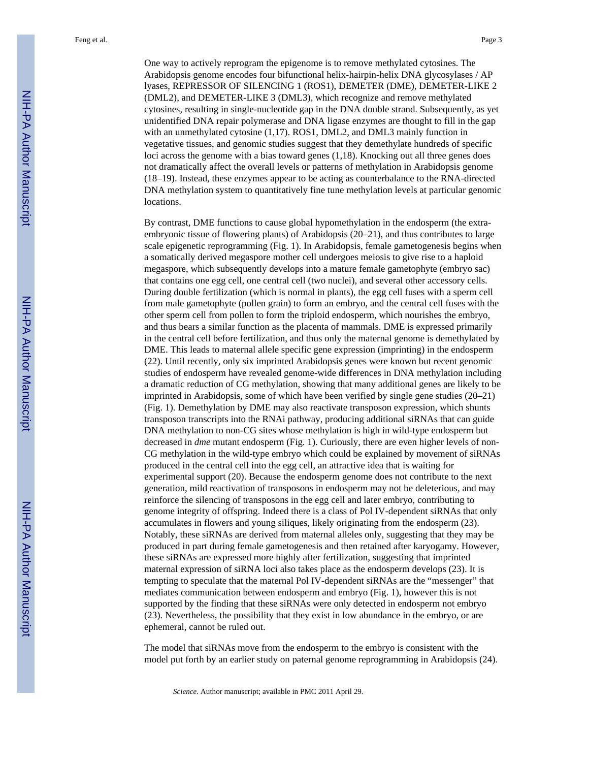One way to actively reprogram the epigenome is to remove methylated cytosines. The Arabidopsis genome encodes four bifunctional helix-hairpin-helix DNA glycosylases / AP lyases, REPRESSOR OF SILENCING 1 (ROS1), DEMETER (DME), DEMETER-LIKE 2 (DML2), and DEMETER-LIKE 3 (DML3), which recognize and remove methylated cytosines, resulting in single-nucleotide gap in the DNA double strand. Subsequently, as yet unidentified DNA repair polymerase and DNA ligase enzymes are thought to fill in the gap with an unmethylated cytosine (1,17). ROS1, DML2, and DML3 mainly function in vegetative tissues, and genomic studies suggest that they demethylate hundreds of specific loci across the genome with a bias toward genes (1,18). Knocking out all three genes does not dramatically affect the overall levels or patterns of methylation in Arabidopsis genome (18–19). Instead, these enzymes appear to be acting as counterbalance to the RNA-directed DNA methylation system to quantitatively fine tune methylation levels at particular genomic locations.

By contrast, DME functions to cause global hypomethylation in the endosperm (the extraembryonic tissue of flowering plants) of Arabidopsis (20–21), and thus contributes to large scale epigenetic reprogramming (Fig. 1). In Arabidopsis, female gametogenesis begins when a somatically derived megaspore mother cell undergoes meiosis to give rise to a haploid megaspore, which subsequently develops into a mature female gametophyte (embryo sac) that contains one egg cell, one central cell (two nuclei), and several other accessory cells. During double fertilization (which is normal in plants), the egg cell fuses with a sperm cell from male gametophyte (pollen grain) to form an embryo, and the central cell fuses with the other sperm cell from pollen to form the triploid endosperm, which nourishes the embryo, and thus bears a similar function as the placenta of mammals. DME is expressed primarily in the central cell before fertilization, and thus only the maternal genome is demethylated by DME. This leads to maternal allele specific gene expression (imprinting) in the endosperm (22). Until recently, only six imprinted Arabidopsis genes were known but recent genomic studies of endosperm have revealed genome-wide differences in DNA methylation including a dramatic reduction of CG methylation, showing that many additional genes are likely to be imprinted in Arabidopsis, some of which have been verified by single gene studies (20–21) (Fig. 1). Demethylation by DME may also reactivate transposon expression, which shunts transposon transcripts into the RNAi pathway, producing additional siRNAs that can guide DNA methylation to non-CG sites whose methylation is high in wild-type endosperm but decreased in *dme* mutant endosperm (Fig. 1). Curiously, there are even higher levels of non-CG methylation in the wild-type embryo which could be explained by movement of siRNAs produced in the central cell into the egg cell, an attractive idea that is waiting for experimental support (20). Because the endosperm genome does not contribute to the next generation, mild reactivation of transposons in endosperm may not be deleterious, and may reinforce the silencing of transposons in the egg cell and later embryo, contributing to genome integrity of offspring. Indeed there is a class of Pol IV-dependent siRNAs that only accumulates in flowers and young siliques, likely originating from the endosperm (23). Notably, these siRNAs are derived from maternal alleles only, suggesting that they may be produced in part during female gametogenesis and then retained after karyogamy. However, these siRNAs are expressed more highly after fertilization, suggesting that imprinted maternal expression of siRNA loci also takes place as the endosperm develops (23). It is tempting to speculate that the maternal Pol IV-dependent siRNAs are the "messenger" that mediates communication between endosperm and embryo (Fig. 1), however this is not supported by the finding that these siRNAs were only detected in endosperm not embryo (23). Nevertheless, the possibility that they exist in low abundance in the embryo, or are ephemeral, cannot be ruled out.

The model that siRNAs move from the endosperm to the embryo is consistent with the model put forth by an earlier study on paternal genome reprogramming in Arabidopsis (24).

*Science*. Author manuscript; available in PMC 2011 April 29.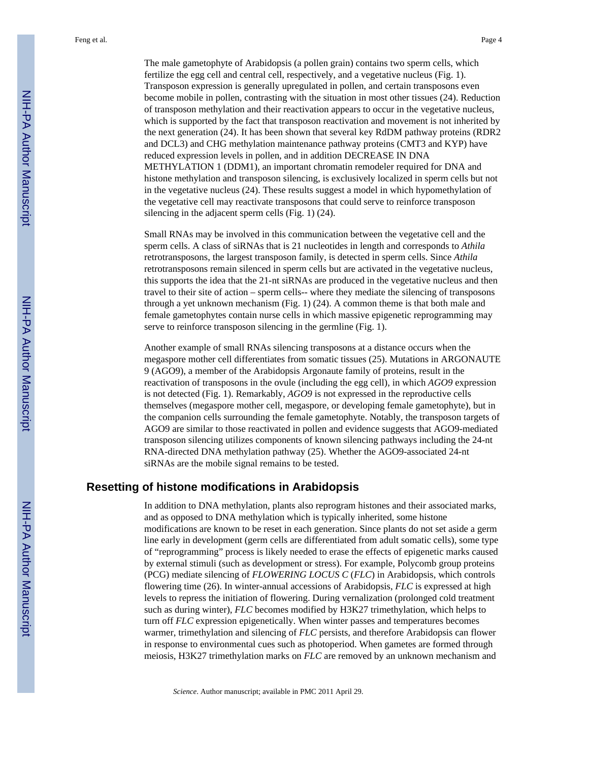The male gametophyte of Arabidopsis (a pollen grain) contains two sperm cells, which fertilize the egg cell and central cell, respectively, and a vegetative nucleus (Fig. 1). Transposon expression is generally upregulated in pollen, and certain transposons even become mobile in pollen, contrasting with the situation in most other tissues (24). Reduction of transposon methylation and their reactivation appears to occur in the vegetative nucleus, which is supported by the fact that transposon reactivation and movement is not inherited by the next generation (24). It has been shown that several key RdDM pathway proteins (RDR2 and DCL3) and CHG methylation maintenance pathway proteins (CMT3 and KYP) have reduced expression levels in pollen, and in addition DECREASE IN DNA METHYLATION 1 (DDM1), an important chromatin remodeler required for DNA and histone methylation and transposon silencing, is exclusively localized in sperm cells but not in the vegetative nucleus (24). These results suggest a model in which hypomethylation of the vegetative cell may reactivate transposons that could serve to reinforce transposon silencing in the adjacent sperm cells (Fig. 1) (24).

Small RNAs may be involved in this communication between the vegetative cell and the sperm cells. A class of siRNAs that is 21 nucleotides in length and corresponds to *Athila* retrotransposons, the largest transposon family, is detected in sperm cells. Since *Athila* retrotransposons remain silenced in sperm cells but are activated in the vegetative nucleus, this supports the idea that the 21-nt siRNAs are produced in the vegetative nucleus and then travel to their site of action – sperm cells-- where they mediate the silencing of transposons through a yet unknown mechanism (Fig. 1) (24). A common theme is that both male and female gametophytes contain nurse cells in which massive epigenetic reprogramming may serve to reinforce transposon silencing in the germline (Fig. 1).

Another example of small RNAs silencing transposons at a distance occurs when the megaspore mother cell differentiates from somatic tissues (25). Mutations in ARGONAUTE 9 (AGO9), a member of the Arabidopsis Argonaute family of proteins, result in the reactivation of transposons in the ovule (including the egg cell), in which *AGO9* expression is not detected (Fig. 1). Remarkably, *AGO9* is not expressed in the reproductive cells themselves (megaspore mother cell, megaspore, or developing female gametophyte), but in the companion cells surrounding the female gametophyte. Notably, the transposon targets of AGO9 are similar to those reactivated in pollen and evidence suggests that AGO9-mediated transposon silencing utilizes components of known silencing pathways including the 24-nt RNA-directed DNA methylation pathway (25). Whether the AGO9-associated 24-nt siRNAs are the mobile signal remains to be tested.

#### **Resetting of histone modifications in Arabidopsis**

In addition to DNA methylation, plants also reprogram histones and their associated marks, and as opposed to DNA methylation which is typically inherited, some histone modifications are known to be reset in each generation. Since plants do not set aside a germ line early in development (germ cells are differentiated from adult somatic cells), some type of "reprogramming" process is likely needed to erase the effects of epigenetic marks caused by external stimuli (such as development or stress). For example, Polycomb group proteins (PCG) mediate silencing of *FLOWERING LOCUS C* (*FLC*) in Arabidopsis, which controls flowering time (26). In winter-annual accessions of Arabidopsis, *FLC* is expressed at high levels to repress the initiation of flowering. During vernalization (prolonged cold treatment such as during winter), *FLC* becomes modified by H3K27 trimethylation, which helps to turn off *FLC* expression epigenetically. When winter passes and temperatures becomes warmer, trimethylation and silencing of *FLC* persists, and therefore Arabidopsis can flower in response to environmental cues such as photoperiod. When gametes are formed through meiosis, H3K27 trimethylation marks on *FLC* are removed by an unknown mechanism and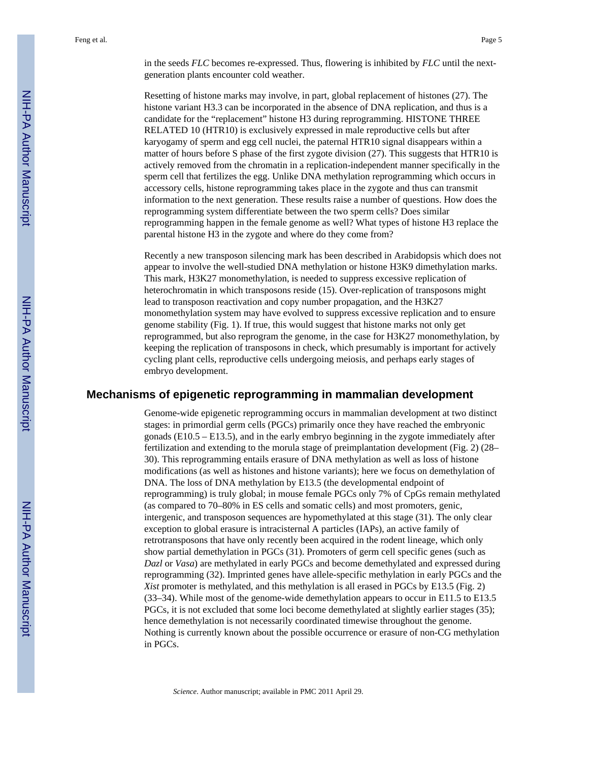in the seeds *FLC* becomes re-expressed. Thus, flowering is inhibited by *FLC* until the nextgeneration plants encounter cold weather.

Resetting of histone marks may involve, in part, global replacement of histones (27). The histone variant H3.3 can be incorporated in the absence of DNA replication, and thus is a candidate for the "replacement" histone H3 during reprogramming. HISTONE THREE RELATED 10 (HTR10) is exclusively expressed in male reproductive cells but after karyogamy of sperm and egg cell nuclei, the paternal HTR10 signal disappears within a matter of hours before S phase of the first zygote division (27). This suggests that HTR10 is actively removed from the chromatin in a replication-independent manner specifically in the sperm cell that fertilizes the egg. Unlike DNA methylation reprogramming which occurs in accessory cells, histone reprogramming takes place in the zygote and thus can transmit information to the next generation. These results raise a number of questions. How does the reprogramming system differentiate between the two sperm cells? Does similar reprogramming happen in the female genome as well? What types of histone H3 replace the parental histone H3 in the zygote and where do they come from?

Recently a new transposon silencing mark has been described in Arabidopsis which does not appear to involve the well-studied DNA methylation or histone H3K9 dimethylation marks. This mark, H3K27 monomethylation, is needed to suppress excessive replication of heterochromatin in which transposons reside (15). Over-replication of transposons might lead to transposon reactivation and copy number propagation, and the H3K27 monomethylation system may have evolved to suppress excessive replication and to ensure genome stability (Fig. 1). If true, this would suggest that histone marks not only get reprogrammed, but also reprogram the genome, in the case for H3K27 monomethylation, by keeping the replication of transposons in check, which presumably is important for actively cycling plant cells, reproductive cells undergoing meiosis, and perhaps early stages of embryo development.

#### **Mechanisms of epigenetic reprogramming in mammalian development**

Genome-wide epigenetic reprogramming occurs in mammalian development at two distinct stages: in primordial germ cells (PGCs) primarily once they have reached the embryonic gonads (E10.5 – E13.5), and in the early embryo beginning in the zygote immediately after fertilization and extending to the morula stage of preimplantation development (Fig. 2) (28– 30). This reprogramming entails erasure of DNA methylation as well as loss of histone modifications (as well as histones and histone variants); here we focus on demethylation of DNA. The loss of DNA methylation by E13.5 (the developmental endpoint of reprogramming) is truly global; in mouse female PGCs only 7% of CpGs remain methylated (as compared to 70–80% in ES cells and somatic cells) and most promoters, genic, intergenic, and transposon sequences are hypomethylated at this stage (31). The only clear exception to global erasure is intracisternal A particles (IAPs), an active family of retrotransposons that have only recently been acquired in the rodent lineage, which only show partial demethylation in PGCs (31). Promoters of germ cell specific genes (such as *Dazl* or *Vasa*) are methylated in early PGCs and become demethylated and expressed during reprogramming (32). Imprinted genes have allele-specific methylation in early PGCs and the *Xist* promoter is methylated, and this methylation is all erased in PGCs by E13.5 (Fig. 2) (33–34). While most of the genome-wide demethylation appears to occur in E11.5 to E13.5 PGCs, it is not excluded that some loci become demethylated at slightly earlier stages (35); hence demethylation is not necessarily coordinated timewise throughout the genome. Nothing is currently known about the possible occurrence or erasure of non-CG methylation in PGCs.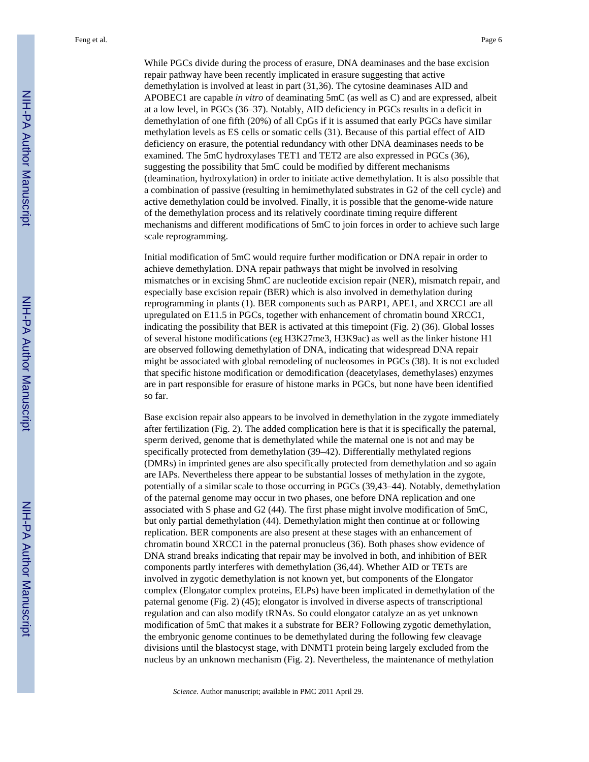While PGCs divide during the process of erasure, DNA deaminases and the base excision repair pathway have been recently implicated in erasure suggesting that active demethylation is involved at least in part (31,36). The cytosine deaminases AID and APOBEC1 are capable *in vitro* of deaminating 5mC (as well as C) and are expressed, albeit at a low level, in PGCs (36–37). Notably, AID deficiency in PGCs results in a deficit in demethylation of one fifth (20%) of all CpGs if it is assumed that early PGCs have similar methylation levels as ES cells or somatic cells (31). Because of this partial effect of AID deficiency on erasure, the potential redundancy with other DNA deaminases needs to be examined. The 5mC hydroxylases TET1 and TET2 are also expressed in PGCs (36), suggesting the possibility that 5mC could be modified by different mechanisms (deamination, hydroxylation) in order to initiate active demethylation. It is also possible that a combination of passive (resulting in hemimethylated substrates in G2 of the cell cycle) and active demethylation could be involved. Finally, it is possible that the genome-wide nature of the demethylation process and its relatively coordinate timing require different mechanisms and different modifications of 5mC to join forces in order to achieve such large scale reprogramming.

Initial modification of 5mC would require further modification or DNA repair in order to achieve demethylation. DNA repair pathways that might be involved in resolving mismatches or in excising 5hmC are nucleotide excision repair (NER), mismatch repair, and especially base excision repair (BER) which is also involved in demethylation during reprogramming in plants (1). BER components such as PARP1, APE1, and XRCC1 are all upregulated on E11.5 in PGCs, together with enhancement of chromatin bound XRCC1, indicating the possibility that BER is activated at this timepoint (Fig. 2) (36). Global losses of several histone modifications (eg H3K27me3, H3K9ac) as well as the linker histone H1 are observed following demethylation of DNA, indicating that widespread DNA repair might be associated with global remodeling of nucleosomes in PGCs (38). It is not excluded that specific histone modification or demodification (deacetylases, demethylases) enzymes are in part responsible for erasure of histone marks in PGCs, but none have been identified so far.

Base excision repair also appears to be involved in demethylation in the zygote immediately after fertilization (Fig. 2). The added complication here is that it is specifically the paternal, sperm derived, genome that is demethylated while the maternal one is not and may be specifically protected from demethylation (39–42). Differentially methylated regions (DMRs) in imprinted genes are also specifically protected from demethylation and so again are IAPs. Nevertheless there appear to be substantial losses of methylation in the zygote, potentially of a similar scale to those occurring in PGCs (39,43–44). Notably, demethylation of the paternal genome may occur in two phases, one before DNA replication and one associated with S phase and G2 (44). The first phase might involve modification of 5mC, but only partial demethylation (44). Demethylation might then continue at or following replication. BER components are also present at these stages with an enhancement of chromatin bound XRCC1 in the paternal pronucleus (36). Both phases show evidence of DNA strand breaks indicating that repair may be involved in both, and inhibition of BER components partly interferes with demethylation (36,44). Whether AID or TETs are involved in zygotic demethylation is not known yet, but components of the Elongator complex (Elongator complex proteins, ELPs) have been implicated in demethylation of the paternal genome (Fig. 2) (45); elongator is involved in diverse aspects of transcriptional regulation and can also modify tRNAs. So could elongator catalyze an as yet unknown modification of 5mC that makes it a substrate for BER? Following zygotic demethylation, the embryonic genome continues to be demethylated during the following few cleavage divisions until the blastocyst stage, with DNMT1 protein being largely excluded from the nucleus by an unknown mechanism (Fig. 2). Nevertheless, the maintenance of methylation

*Science*. Author manuscript; available in PMC 2011 April 29.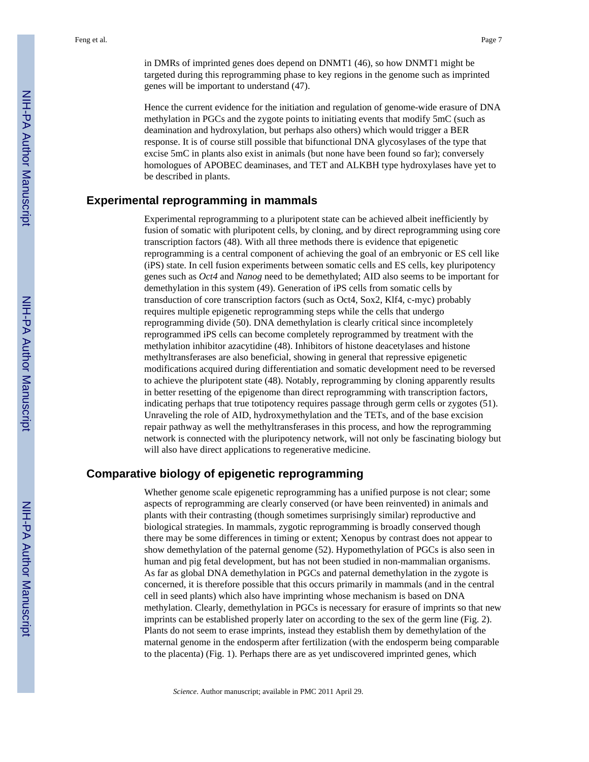Hence the current evidence for the initiation and regulation of genome-wide erasure of DNA methylation in PGCs and the zygote points to initiating events that modify 5mC (such as deamination and hydroxylation, but perhaps also others) which would trigger a BER response. It is of course still possible that bifunctional DNA glycosylases of the type that excise 5mC in plants also exist in animals (but none have been found so far); conversely homologues of APOBEC deaminases, and TET and ALKBH type hydroxylases have yet to be described in plants.

#### **Experimental reprogramming in mammals**

Experimental reprogramming to a pluripotent state can be achieved albeit inefficiently by fusion of somatic with pluripotent cells, by cloning, and by direct reprogramming using core transcription factors (48). With all three methods there is evidence that epigenetic reprogramming is a central component of achieving the goal of an embryonic or ES cell like (iPS) state. In cell fusion experiments between somatic cells and ES cells, key pluripotency genes such as *Oct4* and *Nanog* need to be demethylated; AID also seems to be important for demethylation in this system (49). Generation of iPS cells from somatic cells by transduction of core transcription factors (such as Oct4, Sox2, Klf4, c-myc) probably requires multiple epigenetic reprogramming steps while the cells that undergo reprogramming divide (50). DNA demethylation is clearly critical since incompletely reprogrammed iPS cells can become completely reprogrammed by treatment with the methylation inhibitor azacytidine (48). Inhibitors of histone deacetylases and histone methyltransferases are also beneficial, showing in general that repressive epigenetic modifications acquired during differentiation and somatic development need to be reversed to achieve the pluripotent state (48). Notably, reprogramming by cloning apparently results in better resetting of the epigenome than direct reprogramming with transcription factors, indicating perhaps that true totipotency requires passage through germ cells or zygotes (51). Unraveling the role of AID, hydroxymethylation and the TETs, and of the base excision repair pathway as well the methyltransferases in this process, and how the reprogramming network is connected with the pluripotency network, will not only be fascinating biology but will also have direct applications to regenerative medicine.

#### **Comparative biology of epigenetic reprogramming**

Whether genome scale epigenetic reprogramming has a unified purpose is not clear; some aspects of reprogramming are clearly conserved (or have been reinvented) in animals and plants with their contrasting (though sometimes surprisingly similar) reproductive and biological strategies. In mammals, zygotic reprogramming is broadly conserved though there may be some differences in timing or extent; Xenopus by contrast does not appear to show demethylation of the paternal genome (52). Hypomethylation of PGCs is also seen in human and pig fetal development, but has not been studied in non-mammalian organisms. As far as global DNA demethylation in PGCs and paternal demethylation in the zygote is concerned, it is therefore possible that this occurs primarily in mammals (and in the central cell in seed plants) which also have imprinting whose mechanism is based on DNA methylation. Clearly, demethylation in PGCs is necessary for erasure of imprints so that new imprints can be established properly later on according to the sex of the germ line (Fig. 2). Plants do not seem to erase imprints, instead they establish them by demethylation of the maternal genome in the endosperm after fertilization (with the endosperm being comparable to the placenta) (Fig. 1). Perhaps there are as yet undiscovered imprinted genes, which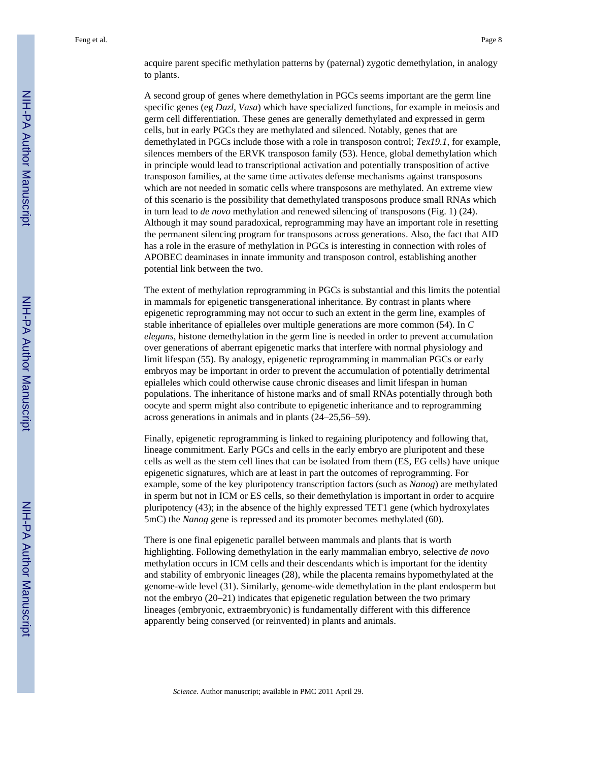acquire parent specific methylation patterns by (paternal) zygotic demethylation, in analogy to plants.

A second group of genes where demethylation in PGCs seems important are the germ line specific genes (eg *Dazl*, *Vasa*) which have specialized functions, for example in meiosis and germ cell differentiation. These genes are generally demethylated and expressed in germ cells, but in early PGCs they are methylated and silenced. Notably, genes that are demethylated in PGCs include those with a role in transposon control; *Tex19.1*, for example, silences members of the ERVK transposon family (53). Hence, global demethylation which in principle would lead to transcriptional activation and potentially transposition of active transposon families, at the same time activates defense mechanisms against transposons which are not needed in somatic cells where transposons are methylated. An extreme view of this scenario is the possibility that demethylated transposons produce small RNAs which in turn lead to *de novo* methylation and renewed silencing of transposons (Fig. 1) (24). Although it may sound paradoxical, reprogramming may have an important role in resetting the permanent silencing program for transposons across generations. Also, the fact that AID has a role in the erasure of methylation in PGCs is interesting in connection with roles of APOBEC deaminases in innate immunity and transposon control, establishing another potential link between the two.

The extent of methylation reprogramming in PGCs is substantial and this limits the potential in mammals for epigenetic transgenerational inheritance. By contrast in plants where epigenetic reprogramming may not occur to such an extent in the germ line, examples of stable inheritance of epialleles over multiple generations are more common (54). In *C elegans*, histone demethylation in the germ line is needed in order to prevent accumulation over generations of aberrant epigenetic marks that interfere with normal physiology and limit lifespan (55). By analogy, epigenetic reprogramming in mammalian PGCs or early embryos may be important in order to prevent the accumulation of potentially detrimental epialleles which could otherwise cause chronic diseases and limit lifespan in human populations. The inheritance of histone marks and of small RNAs potentially through both oocyte and sperm might also contribute to epigenetic inheritance and to reprogramming across generations in animals and in plants (24–25,56–59).

Finally, epigenetic reprogramming is linked to regaining pluripotency and following that, lineage commitment. Early PGCs and cells in the early embryo are pluripotent and these cells as well as the stem cell lines that can be isolated from them (ES, EG cells) have unique epigenetic signatures, which are at least in part the outcomes of reprogramming. For example, some of the key pluripotency transcription factors (such as *Nanog*) are methylated in sperm but not in ICM or ES cells, so their demethylation is important in order to acquire pluripotency (43); in the absence of the highly expressed TET1 gene (which hydroxylates 5mC) the *Nanog* gene is repressed and its promoter becomes methylated (60).

There is one final epigenetic parallel between mammals and plants that is worth highlighting. Following demethylation in the early mammalian embryo, selective *de novo* methylation occurs in ICM cells and their descendants which is important for the identity and stability of embryonic lineages (28), while the placenta remains hypomethylated at the genome-wide level (31). Similarly, genome-wide demethylation in the plant endosperm but not the embryo (20–21) indicates that epigenetic regulation between the two primary lineages (embryonic, extraembryonic) is fundamentally different with this difference apparently being conserved (or reinvented) in plants and animals.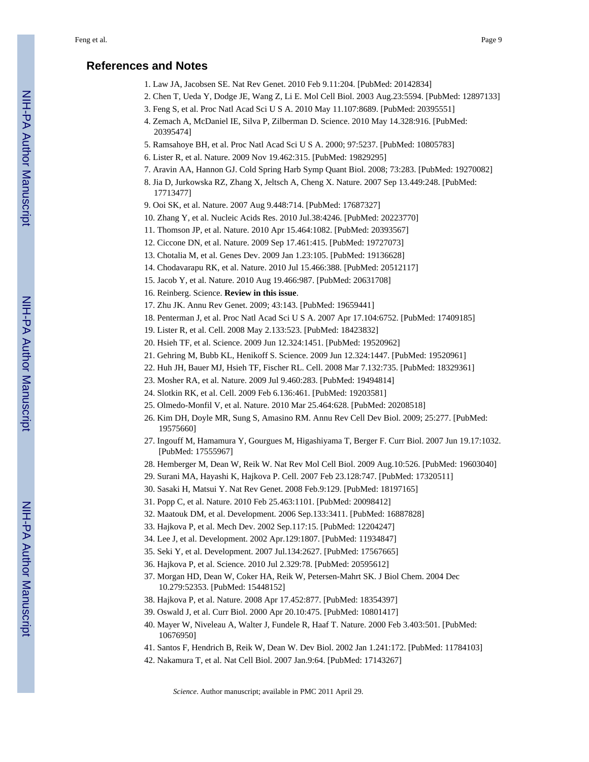#### **References and Notes**

- 1. Law JA, Jacobsen SE. Nat Rev Genet. 2010 Feb 9.11:204. [PubMed: 20142834]
- 2. Chen T, Ueda Y, Dodge JE, Wang Z, Li E. Mol Cell Biol. 2003 Aug.23:5594. [PubMed: 12897133]
- 3. Feng S, et al. Proc Natl Acad Sci U S A. 2010 May 11.107:8689. [PubMed: 20395551]
- 4. Zemach A, McDaniel IE, Silva P, Zilberman D. Science. 2010 May 14.328:916. [PubMed: 20395474]
- 5. Ramsahoye BH, et al. Proc Natl Acad Sci U S A. 2000; 97:5237. [PubMed: 10805783]
- 6. Lister R, et al. Nature. 2009 Nov 19.462:315. [PubMed: 19829295]
- 7. Aravin AA, Hannon GJ. Cold Spring Harb Symp Quant Biol. 2008; 73:283. [PubMed: 19270082]
- 8. Jia D, Jurkowska RZ, Zhang X, Jeltsch A, Cheng X. Nature. 2007 Sep 13.449:248. [PubMed: 17713477]
- 9. Ooi SK, et al. Nature. 2007 Aug 9.448:714. [PubMed: 17687327]
- 10. Zhang Y, et al. Nucleic Acids Res. 2010 Jul.38:4246. [PubMed: 20223770]
- 11. Thomson JP, et al. Nature. 2010 Apr 15.464:1082. [PubMed: 20393567]
- 12. Ciccone DN, et al. Nature. 2009 Sep 17.461:415. [PubMed: 19727073]
- 13. Chotalia M, et al. Genes Dev. 2009 Jan 1.23:105. [PubMed: 19136628]
- 14. Chodavarapu RK, et al. Nature. 2010 Jul 15.466:388. [PubMed: 20512117]
- 15. Jacob Y, et al. Nature. 2010 Aug 19.466:987. [PubMed: 20631708]
- 16. Reinberg. Science. **Review in this issue**.
- 17. Zhu JK. Annu Rev Genet. 2009; 43:143. [PubMed: 19659441]
- 18. Penterman J, et al. Proc Natl Acad Sci U S A. 2007 Apr 17.104:6752. [PubMed: 17409185]
- 19. Lister R, et al. Cell. 2008 May 2.133:523. [PubMed: 18423832]
- 20. Hsieh TF, et al. Science. 2009 Jun 12.324:1451. [PubMed: 19520962]
- 21. Gehring M, Bubb KL, Henikoff S. Science. 2009 Jun 12.324:1447. [PubMed: 19520961]
- 22. Huh JH, Bauer MJ, Hsieh TF, Fischer RL. Cell. 2008 Mar 7.132:735. [PubMed: 18329361]
- 23. Mosher RA, et al. Nature. 2009 Jul 9.460:283. [PubMed: 19494814]
- 24. Slotkin RK, et al. Cell. 2009 Feb 6.136:461. [PubMed: 19203581]
- 25. Olmedo-Monfil V, et al. Nature. 2010 Mar 25.464:628. [PubMed: 20208518]
- 26. Kim DH, Doyle MR, Sung S, Amasino RM. Annu Rev Cell Dev Biol. 2009; 25:277. [PubMed: 19575660]
- 27. Ingouff M, Hamamura Y, Gourgues M, Higashiyama T, Berger F. Curr Biol. 2007 Jun 19.17:1032. [PubMed: 17555967]
- 28. Hemberger M, Dean W, Reik W. Nat Rev Mol Cell Biol. 2009 Aug.10:526. [PubMed: 19603040]
- 29. Surani MA, Hayashi K, Hajkova P. Cell. 2007 Feb 23.128:747. [PubMed: 17320511]
- 30. Sasaki H, Matsui Y. Nat Rev Genet. 2008 Feb.9:129. [PubMed: 18197165]
- 31. Popp C, et al. Nature. 2010 Feb 25.463:1101. [PubMed: 20098412]
- 32. Maatouk DM, et al. Development. 2006 Sep.133:3411. [PubMed: 16887828]
- 33. Hajkova P, et al. Mech Dev. 2002 Sep.117:15. [PubMed: 12204247]
- 34. Lee J, et al. Development. 2002 Apr.129:1807. [PubMed: 11934847]
- 35. Seki Y, et al. Development. 2007 Jul.134:2627. [PubMed: 17567665]
- 36. Hajkova P, et al. Science. 2010 Jul 2.329:78. [PubMed: 20595612]
- 37. Morgan HD, Dean W, Coker HA, Reik W, Petersen-Mahrt SK. J Biol Chem. 2004 Dec 10.279:52353. [PubMed: 15448152]
- 38. Hajkova P, et al. Nature. 2008 Apr 17.452:877. [PubMed: 18354397]
- 39. Oswald J, et al. Curr Biol. 2000 Apr 20.10:475. [PubMed: 10801417]
- 40. Mayer W, Niveleau A, Walter J, Fundele R, Haaf T. Nature. 2000 Feb 3.403:501. [PubMed: 10676950]
- 41. Santos F, Hendrich B, Reik W, Dean W. Dev Biol. 2002 Jan 1.241:172. [PubMed: 11784103]
- 42. Nakamura T, et al. Nat Cell Biol. 2007 Jan.9:64. [PubMed: 17143267]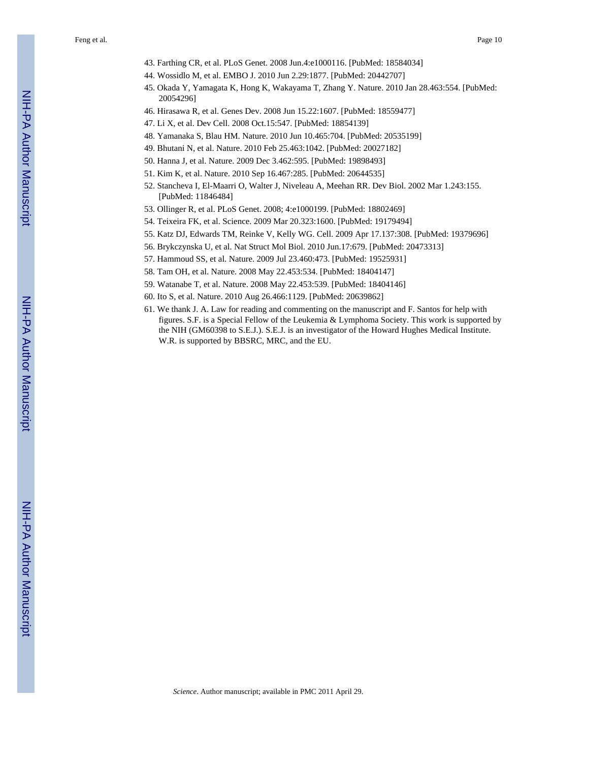Feng et al. Page 10

- 43. Farthing CR, et al. PLoS Genet. 2008 Jun.4:e1000116. [PubMed: 18584034]
- 44. Wossidlo M, et al. EMBO J. 2010 Jun 2.29:1877. [PubMed: 20442707]
- 45. Okada Y, Yamagata K, Hong K, Wakayama T, Zhang Y. Nature. 2010 Jan 28.463:554. [PubMed: 20054296]
- 46. Hirasawa R, et al. Genes Dev. 2008 Jun 15.22:1607. [PubMed: 18559477]
- 47. Li X, et al. Dev Cell. 2008 Oct.15:547. [PubMed: 18854139]
- 48. Yamanaka S, Blau HM. Nature. 2010 Jun 10.465:704. [PubMed: 20535199]
- 49. Bhutani N, et al. Nature. 2010 Feb 25.463:1042. [PubMed: 20027182]
- 50. Hanna J, et al. Nature. 2009 Dec 3.462:595. [PubMed: 19898493]
- 51. Kim K, et al. Nature. 2010 Sep 16.467:285. [PubMed: 20644535]
- 52. Stancheva I, El-Maarri O, Walter J, Niveleau A, Meehan RR. Dev Biol. 2002 Mar 1.243:155. [PubMed: 11846484]
- 53. Ollinger R, et al. PLoS Genet. 2008; 4:e1000199. [PubMed: 18802469]
- 54. Teixeira FK, et al. Science. 2009 Mar 20.323:1600. [PubMed: 19179494]
- 55. Katz DJ, Edwards TM, Reinke V, Kelly WG. Cell. 2009 Apr 17.137:308. [PubMed: 19379696]
- 56. Brykczynska U, et al. Nat Struct Mol Biol. 2010 Jun.17:679. [PubMed: 20473313]
- 57. Hammoud SS, et al. Nature. 2009 Jul 23.460:473. [PubMed: 19525931]
- 58. Tam OH, et al. Nature. 2008 May 22.453:534. [PubMed: 18404147]
- 59. Watanabe T, et al. Nature. 2008 May 22.453:539. [PubMed: 18404146]
- 60. Ito S, et al. Nature. 2010 Aug 26.466:1129. [PubMed: 20639862]
- 61. We thank J. A. Law for reading and commenting on the manuscript and F. Santos for help with figures. S.F. is a Special Fellow of the Leukemia & Lymphoma Society. This work is supported by the NIH (GM60398 to S.E.J.). S.E.J. is an investigator of the Howard Hughes Medical Institute. W.R. is supported by BBSRC, MRC, and the EU.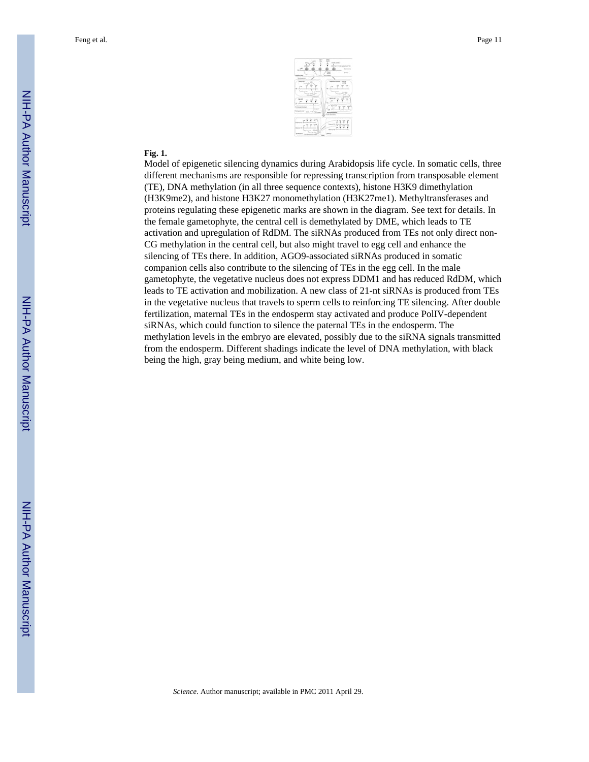

#### **Fig. 1.**

Model of epigenetic silencing dynamics during Arabidopsis life cycle. In somatic cells, three different mechanisms are responsible for repressing transcription from transposable element (TE), DNA methylation (in all three sequence contexts), histone H3K9 dimethylation (H3K9me2), and histone H3K27 monomethylation (H3K27me1). Methyltransferases and proteins regulating these epigenetic marks are shown in the diagram. See text for details. In the female gametophyte, the central cell is demethylated by DME, which leads to TE activation and upregulation of RdDM. The siRNAs produced from TEs not only direct non-CG methylation in the central cell, but also might travel to egg cell and enhance the silencing of TEs there. In addition, AGO9-associated siRNAs produced in somatic companion cells also contribute to the silencing of TEs in the egg cell. In the male gametophyte, the vegetative nucleus does not express DDM1 and has reduced RdDM, which leads to TE activation and mobilization. A new class of 21-nt siRNAs is produced from TEs in the vegetative nucleus that travels to sperm cells to reinforcing TE silencing. After double fertilization, maternal TEs in the endosperm stay activated and produce PolIV-dependent siRNAs, which could function to silence the paternal TEs in the endosperm. The methylation levels in the embryo are elevated, possibly due to the siRNA signals transmitted from the endosperm. Different shadings indicate the level of DNA methylation, with black being the high, gray being medium, and white being low.